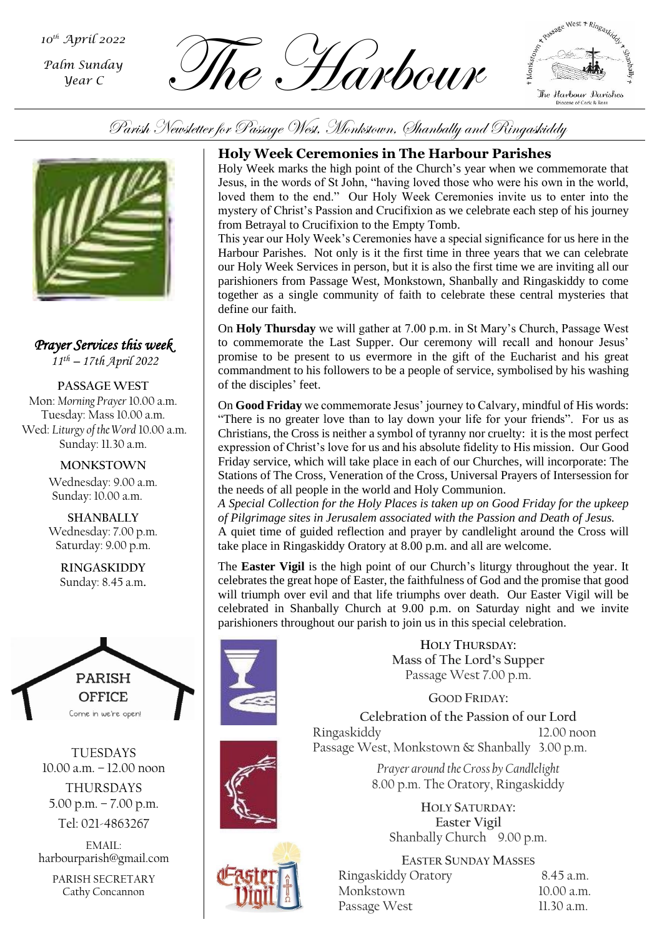*Palm Sunday Year C*

 $\overbrace{L_{\text{Gamma}}}^{\text{noth April 2022}}$   $\overbrace{L_{\text{P}}}\left(\frac{1}{2}\right)$   $\overbrace{L_{\text{P}}}\left(\frac{1}{2}\right)$ 



Parish Newsletter for Passage West, Monkstown, Shanbally and Ringaskiddy



*Prayer Services this week 11th – 17th April 2022*

**PASSAGE WEST** Mon: *Morning Prayer* 10.00 a.m. Tuesday: Mass 10.00 a.m. Wed: *Liturgy of the Word* 10.00 a.m. Sunday: 11.30 a.m.

> **MONKSTOWN** Wednesday: 9.00 a.m. Sunday: 10.00 a.m.

> **SHANBALLY** Wednesday: 7.00 p.m. Saturday: 9.00 p.m.

**RINGASKIDDY** Sunday: 8.45 a.m.



TUESDAYS 10.00 a.m. – 12.00 noon THURSDAYS 5.00 p.m. – 7.00 p.m.

Tel: 021-4863267

EMAIL: harbourparish@gmail.com

PARISH SECRETARY Cathy Concannon

# **Holy Week Ceremonies in The Harbour Parishes**

Holy Week marks the high point of the Church's year when we commemorate that Jesus, in the words of St John, "having loved those who were his own in the world, loved them to the end." Our Holy Week Ceremonies invite us to enter into the mystery of Christ's Passion and Crucifixion as we celebrate each step of his journey from Betrayal to Crucifixion to the Empty Tomb.

This year our Holy Week's Ceremonies have a special significance for us here in the Harbour Parishes. Not only is it the first time in three years that we can celebrate our Holy Week Services in person, but it is also the first time we are inviting all our parishioners from Passage West, Monkstown, Shanbally and Ringaskiddy to come together as a single community of faith to celebrate these central mysteries that define our faith.

On **Holy Thursday** we will gather at 7.00 p.m. in St Mary's Church, Passage West to commemorate the Last Supper. Our ceremony will recall and honour Jesus' promise to be present to us evermore in the gift of the Eucharist and his great commandment to his followers to be a people of service, symbolised by his washing of the disciples' feet.

On **Good Friday** we commemorate Jesus' journey to Calvary, mindful of His words: "There is no greater love than to lay down your life for your friends". For us as Christians, the Cross is neither a symbol of tyranny nor cruelty: it is the most perfect expression of Christ's love for us and his absolute fidelity to His mission. Our Good Friday service, which will take place in each of our Churches, will incorporate: The Stations of The Cross, Veneration of the Cross, Universal Prayers of Intersession for the needs of all people in the world and Holy Communion.

*A Special Collection for the Holy Places is taken up on Good Friday for the upkeep of Pilgrimage sites in Jerusalem associated with the Passion and Death of Jesus.* A quiet time of guided reflection and prayer by candlelight around the Cross will take place in Ringaskiddy Oratory at 8.00 p.m. and all are welcome.

The **Easter Vigil** is the high point of our Church's liturgy throughout the year. It celebrates the great hope of Easter, the faithfulness of God and the promise that good will triumph over evil and that life triumphs over death. Our Easter Vigil will be celebrated in Shanbally Church at 9.00 p.m. on Saturday night and we invite parishioners throughout our parish to join us in this special celebration.



**HOLY THURSDAY: Mass of The Lord's Supper** Passage West 7.00 p.m.

**GOOD FRIDAY:**

**Celebration of the Passion of our Lord** Ringaskiddy 12.00 noon Passage West, Monkstown & Shanbally 3.00 p.m.

> *Prayer around the Cross by Candlelight* 8.00 p.m. The Oratory, Ringaskiddy

**HOLY SATURDAY: Easter Vigil** Shanbally Church 9.00 p.m.

**EASTER SUNDAY MASSES** Ringaskiddy Oratory 8.45 a.m. Monkstown 10.00 a.m. Passage West 11.30 a.m.